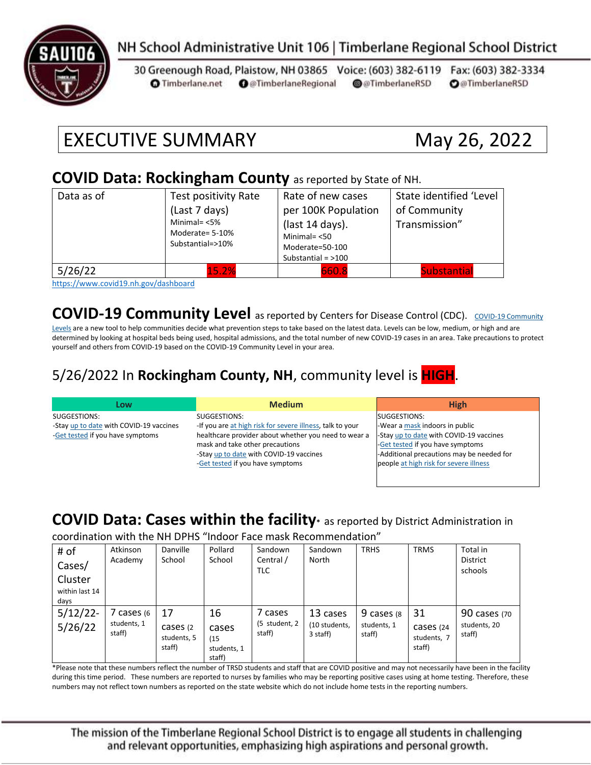

### NH School Administrative Unit 106 | Timberlane Regional School District

30 Greenough Road, Plaistow, NH 03865 Voice: (603) 382-6119 Fax: (603) 382-3334 **O** @TimberlaneRegional @@TimberlaneRSD **O**@TimberlaneRSD **O** Timberlane.net

# EXECUTIVE SUMMARY May 26, 2022

#### **COVID Data: Rockingham County** as reported by State of NH.

| Data as of | Test positivity Rate                                   | Rate of new cases    | State identified 'Level |  |
|------------|--------------------------------------------------------|----------------------|-------------------------|--|
|            | (Last 7 days)                                          | per 100K Population  | of Community            |  |
|            | Minimal= $<$ 5%<br>Moderate= 5-10%<br>Substantial=>10% | (last 14 days).      | Transmission"           |  |
|            |                                                        | Minimal $=$ <50      |                         |  |
|            |                                                        | Moderate=50-100      |                         |  |
|            |                                                        | Substantial = $>100$ |                         |  |
| 5/26/22    | 15.2%                                                  | 660.8                | <b>Substantial</b>      |  |

<https://www.covid19.nh.gov/dashboard>

**[COVID-19 Community](https://www.cdc.gov/coronavirus/2019-ncov/science/community-levels.html) Level** as reported by Centers for Disease Control (CDC). COVID-19 Community

[Levels](https://www.cdc.gov/coronavirus/2019-ncov/science/community-levels.html) are a new tool to help communities decide what prevention steps to take based on the latest data. Levels can be low, medium, or high and are determined by looking at hospital beds being used, hospital admissions, and the total number of new COVID-19 cases in an area. Take precautions to protect yourself and others from COVID-19 based on the COVID-19 Community Level in your area.

#### 5/26/2022 In **Rockingham County, NH**, community level is **HIGH**.

| Low                                     | <b>Medium</b>                                             | <b>High</b>                               |
|-----------------------------------------|-----------------------------------------------------------|-------------------------------------------|
| SUGGESTIONS:                            | SUGGESTIONS:                                              | SUGGESTIONS:                              |
| -Stay up to date with COVID-19 vaccines | -If you are at high risk for severe illness, talk to your | -Wear a mask indoors in public            |
| -Get tested if you have symptoms        | healthcare provider about whether you need to wear a      | -Stay up to date with COVID-19 vaccines   |
|                                         | mask and take other precautions                           | -Get tested if you have symptoms          |
|                                         | -Stay up to date with COVID-19 vaccines                   | -Additional precautions may be needed for |
|                                         | -Get tested if you have symptoms                          | people at high risk for severe illness    |
|                                         |                                                           |                                           |

#### **COVID Data: Cases within the facility\*** as reported by District Administration in

coordination with the NH DPHS "Indoor Face mask Recommendation"

| # of                              | Atkinson                          | Danville                                 | Pollard                                      | Sandown                            | Sandown                               | <b>TRHS</b>                         | <b>TRMS</b>                              | Total in                               |
|-----------------------------------|-----------------------------------|------------------------------------------|----------------------------------------------|------------------------------------|---------------------------------------|-------------------------------------|------------------------------------------|----------------------------------------|
| Cases/                            | Academy                           | School                                   | School                                       | Central /<br><b>TLC</b>            | North                                 |                                     |                                          | <b>District</b><br>schools             |
| Cluster<br>within last 14<br>days |                                   |                                          |                                              |                                    |                                       |                                     |                                          |                                        |
| 5/12/22<br>5/26/22                | cases (6<br>students, 1<br>staff) | 17<br>cases (2)<br>students, 5<br>staff) | 16<br>cases<br>(15)<br>students, 1<br>staff) | 7 cases<br>(5 student, 2<br>staff) | 13 cases<br>(10 students,<br>3 staff) | 9 cases (8<br>students, 1<br>staff) | 31<br>Cases (24<br>students, 7<br>staff) | 90 cases (70<br>students, 20<br>staff) |

\*Please note that these numbers reflect the number of TRSD students and staff that are COVID positive and may not necessarily have been in the facility during this time period. These numbers are reported to nurses by families who may be reporting positive cases using at home testing. Therefore, these numbers may not reflect town numbers as reported on the state website which do not include home tests in the reporting numbers.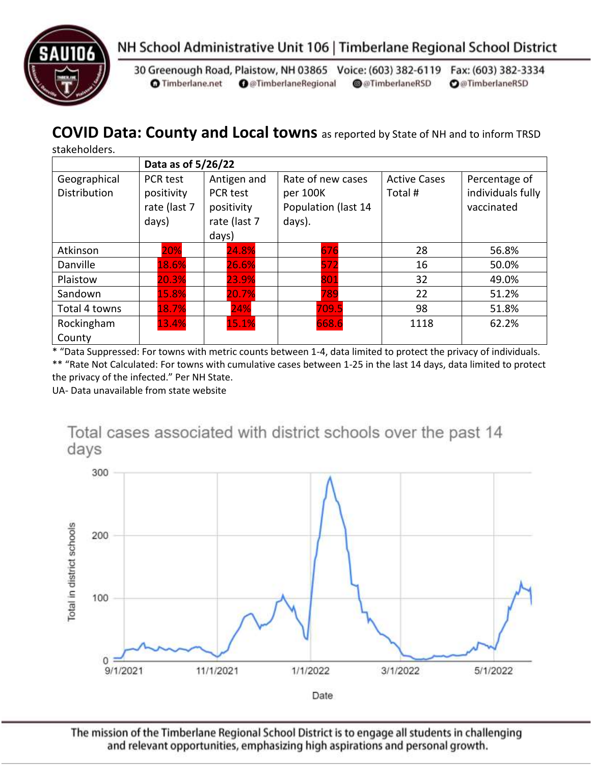



30 Greenough Road, Plaistow, NH 03865 Voice: (603) 382-6119 Fax: (603) 382-3334 **O** Timberlane.net **O** @TimberlaneRegional @@TimberlaneRSD **O**@TimberlaneRSD

# **COVID Data: County and Local towns** as reported by State of NH and to inform TRSD

stakeholders.

|                                     | Data as of 5/26/22                              |                                                                |                                                                |                               |                                                  |  |
|-------------------------------------|-------------------------------------------------|----------------------------------------------------------------|----------------------------------------------------------------|-------------------------------|--------------------------------------------------|--|
| Geographical<br><b>Distribution</b> | PCR test<br>positivity<br>rate (last 7<br>days) | Antigen and<br>PCR test<br>positivity<br>rate (last 7<br>days) | Rate of new cases<br>per 100K<br>Population (last 14<br>days). | <b>Active Cases</b><br>Total# | Percentage of<br>individuals fully<br>vaccinated |  |
| Atkinson                            | 20%                                             | 24.8%                                                          | 676                                                            | 28                            | 56.8%                                            |  |
| Danville                            | 18.6%                                           | 26.6%                                                          | 572                                                            | 16                            | 50.0%                                            |  |
| Plaistow                            | 20.3%                                           | 23.9%                                                          | 801                                                            | 32                            | 49.0%                                            |  |
| Sandown                             | 15.8%                                           | 20.7%                                                          | 789                                                            | 22                            | 51.2%                                            |  |
| Total 4 towns                       | 18.7%                                           | 24%                                                            | 709.5                                                          | 98                            | 51.8%                                            |  |
| Rockingham<br>County                | 13.4%                                           | 15.1%                                                          | 668.6                                                          | 1118                          | 62.2%                                            |  |

\* "Data Suppressed: For towns with metric counts between 1-4, data limited to protect the privacy of individuals. \*\* "Rate Not Calculated: For towns with cumulative cases between 1-25 in the last 14 days, data limited to protect

the privacy of the infected." Per NH State.

UA- Data unavailable from state website

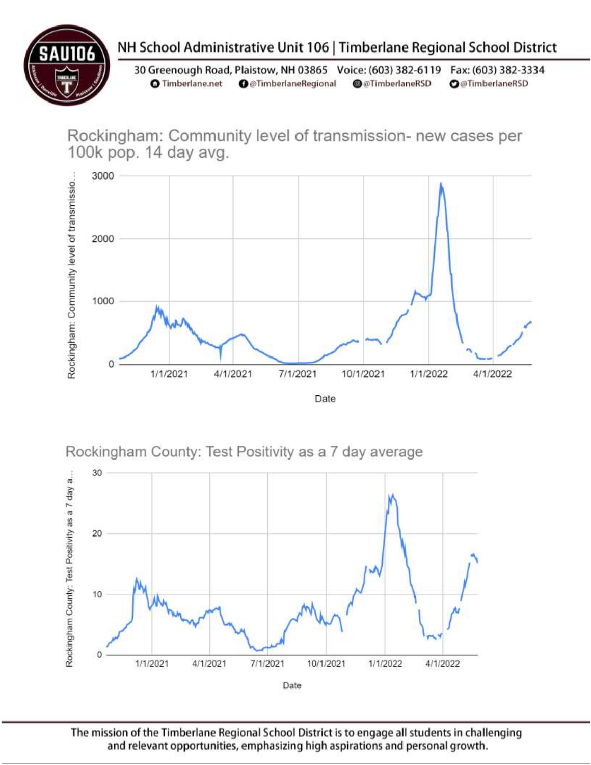

# NH School Administrative Unit 106 | Timberlane Regional School District

30 Greenough Road, Plaistow, NH 03865 Voice: (603) 382-6119 Fax: (603) 382-3334 **O** Timberlane.net **O** @TimberlaneRegional @@TimberlaneRSD **O**@TimberlaneRSD

Rockingham: Community level of transmission- new cases per 100k pop. 14 day avg.



Rockingham County: Test Positivity as a 7 day average